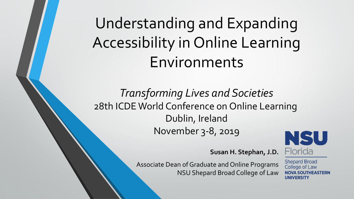# Understanding and Expanding Accessibility in Online Learning Environments

*Transforming Lives and Societies* 28th ICDE World Conference on Online Learning Dublin, Ireland November 3-8, 2019



**Susan H. Stephan, J.D.**

Associate Dean of Graduate and Online Programs NSU Shepard Broad College of Law **Shepard Broad** College of Law **NOVA SOUTHEASTERN** UNIVERSITY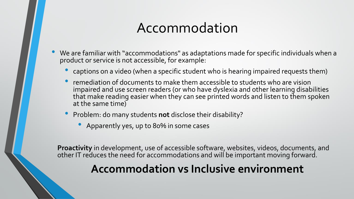### Accommodation

- We are familiar with "accommodations" as adaptations made for specific individuals when a product or service is not accessible, for example:
	- captions on a video (when a specific student who is hearing impaired requests them)
	- remediation of documents to make them accessible to students who are vision impaired and use screen readers (or who have dyslexia and other learning disabilities that make reading easier when they can see printed words and listen to them spoken at the same time)
	- Problem: do many students **not** disclose their disability?
		- Apparently yes, up to 80% in some cases

**Proactivity** in development, use of accessible software, websites, videos, documents, and other IT reduces the need for accommodations and will be important moving forward.

#### **Accommodation vs Inclusive environment**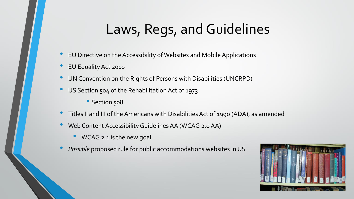## Laws, Regs, and Guidelines

- EU Directive on the Accessibility of Websites and Mobile Applications
- EU Equality Act 2010
- UN Convention on the Rights of Persons with Disabilities (UNCRPD)
- US Section 504 of the Rehabilitation Act of 1973
	- Section 508
- Titles II and III of the Americans with Disabilities Act of 1990 (ADA), as amended
- Web Content Accessibility Guidelines AA (WCAG 2.0 AA)
	- WCAG 2.1 is the new goal
- *Possible* proposed rule for public accommodations websites in US

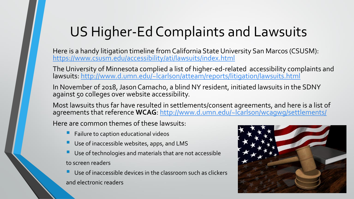## US Higher-Ed Complaints and Lawsuits

Here is a handy litigation timeline from California State University San Marcos (CSUSM): <https://www.csusm.edu/accessibility/ati/lawsuits/index.html>

The University of Minnesota complied a list of higher-ed-related accessibility complaints and lawsuits:<http://www.d.umn.edu/~lcarlson/atteam/reports/litigation/lawsuits.html>

In November of 2018, Jason Camacho, a blind NY resident, initiated lawsuits in the SDNY against 50 colleges over website accessibility.

Most lawsuits thus far have resulted in settlements/consent agreements, and here is a list of agreements that reference **WCAG**: <http://www.d.umn.edu/~lcarlson/wcagwg/settlements/>

Here are common themes of these lawsuits:

- Failure to caption educational videos
- Use of inaccessible websites, apps, and LMS
- Use of technologies and materials that are not accessible to screen readers
- Use of inaccessible devices in the classroom such as clickers and electronic readers

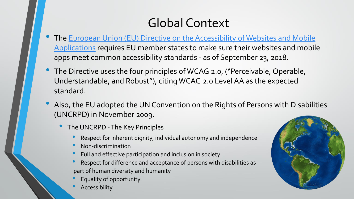#### Global Context

- The [European Union \(EU\) Directive on the Accessibility of Websites and Mobile](https://eur-lex.europa.eu/legal-content/EN/TXT/?uri=CELEX:32016L2102) Applications requires EU member states to make sure their websites and mobile apps meet common accessibility standards - as of September 23, 2018.
- The Directive uses the four principles of WCAG 2.0, ("Perceivable, Operable, Understandable, and Robust"), citing WCAG 2.0 Level AA as the expected standard.
- Also, the EU adopted the UN Convention on the Rights of Persons with Disabilities (UNCRPD) in November 2009.
	- The UNCRPD -The Key Principles
		- Respect for inherent dignity, individual autonomy and independence
		- Non-discrimination
		- Full and effective participation and inclusion in society
		- Respect for difference and acceptance of persons with disabilities as part of human diversity and humanity
		- Equality of opportunity
		- **Accessibility**

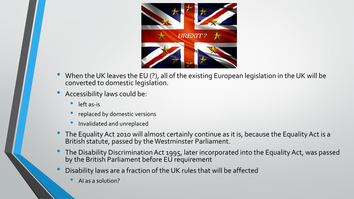

- When the UK leaves the EU (?), all of the existing European legislation in the UK will be converted to domestic legislation.
- Accessibility laws could be:
	- left as-is
	- replaced by domestic versions
	- Invalidated and unreplaced
- The Equality Act 2010 will almost certainly continue as it is, because the Equality Act is a British statute, passed by the Westminster Parliament.
- The Disability Discrimination Act 1995, later incorporated into the Equality Act, was passed by the British Parliament before EU requirement
- Disability laws are a fraction of the UK rules that will be affected
	- AI as a solution?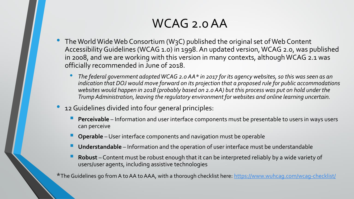#### WCAG 2.0 AA

- The World Wide Web Consortium (W3C) published the original set of Web Content Accessibility Guidelines (WCAG 1.0) in 1998. An updated version, WCAG 2.0, was published in 2008, and we are working with this version in many contexts, although WCAG 2.1 was officially recommended in June of 2018.
	- *The federal government adopted WCAG 2.0 AA\* in 2017 for its agency websites, so this was seen as an indication that DOJ would move forward on its projection that a proposed rule for public accommodations websites would happen in 2018 (probably based on 2.0 AA) but this process was put on hold under the Trump Administration, leaving the regulatory environment for websites and online learning uncertain.*
- 12 Guidelines divided into four general principles:
	- **Perceivable** Information and user interface components must be presentable to users in ways users can perceive
	- **Operable** –User interface components and navigation must be operable
	- **Understandable** Information and the operation of user interface must be understandable
	- **Robust** Content must be robust enough that it can be interpreted reliably by a wide variety of users/user agents, including assistive technologies

\*The Guidelines go from A to AA to AAA, with a thorough checklist here: <https://www.wuhcag.com/wcag-checklist/>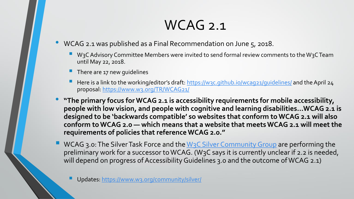### WCAG 2.1

- WCAG 2.1 was published as a Final Recommendation on June 5, 2018.
	- W3C Advisory Committee Members were invited to send formal review comments to the W3C Team until May 22, 2018.
	- There are 17 new guidelines
	- Here is a link to the working/editor's draft: <https://w3c.github.io/wcag21/guidelines/> and the April 24 proposal:<https://www.w3.org/TR/WCAG21/>
- **"The primary focus for WCAG 2.1 is accessibility requirements for mobile accessibility, people with low vision, and people with cognitive and learning disabilities…WCAG 2.1 is designed to be 'backwards compatible' so websites that conform to WCAG 2.1 will also conform to WCAG 2.0 — which means that a website that meets WCAG 2.1 will meet the requirements of policies that reference WCAG 2.0."**
- WCAG 3.0: The Silver Task Force and the W<sub>3</sub>C Silver Community Group are performing the preliminary work for a successor to WCAG. (W3C says it is currently unclear if 2.2 is needed, will depend on progress of Accessibility Guidelines 3.0 and the outcome of WCAG 2.1)

Updates:<https://www.w3.org/community/silver/>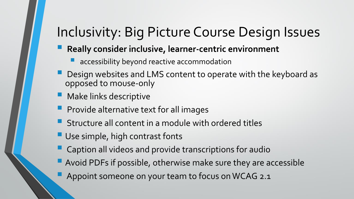### Inclusivity: Big Picture Course Design Issues

- **Really consider inclusive, learner-centric environment**
	- **Laccessibility beyond reactive accommodation**
- Design websites and LMS content to operate with the keyboard as opposed to mouse-only
- **Make links descriptive**
- **Provide alternative text for all images**
- **Structure all content in a module with ordered titles**
- **Use simple, high contrast fonts**
- **Caption all videos and provide transcriptions for audio**
- **Avoid PDFs if possible, otherwise make sure they are accessible** 
	- Appoint someone on your team to focus on WCAG 2.1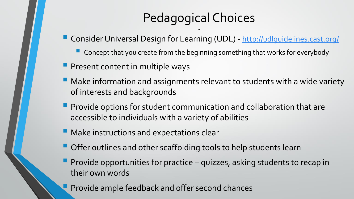### Pedagogical Choices

-

- Consider Universal Design for Learning (UDL) <http://udlguidelines.cast.org/>
	- **Concept that you create from the beginning something that works for everybody**
- **P** Present content in multiple ways
- **Make information and assignments relevant to students with a wide variety** of interests and backgrounds
- **Provide options for student communication and collaboration that are** accessible to individuals with a variety of abilities
- **Make instructions and expectations clear**
- **Offer outlines and other scaffolding tools to help students learn**
- **Provide opportunities for practice quizzes, asking students to recap in** their own words
	- Provide ample feedback and offer second chances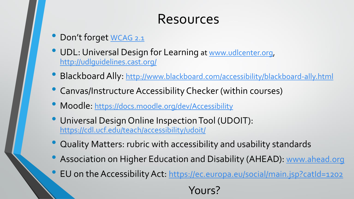### Resources

- Don't forget [WCAG 2.1](https://www.w3.org/TR/WCAG21/)
- UDL: Universal Design for Learning at [www.udlcenter.org](http://www.udlcenter.org/), <http://udlguidelines.cast.org/>
- Blackboard Ally: <http://www.blackboard.com/accessibility/blackboard-ally.html>
- Canvas/Instructure Accessibility Checker (within courses)
- Moodle: <https://docs.moodle.org/dev/Accessibility>
- Universal Design Online Inspection Tool (UDOIT): <https://cdl.ucf.edu/teach/accessibility/udoit/>
- Quality Matters: rubric with accessibility and usability standards
- Association on Higher Education and Disability (AHEAD): [www.ahead.org](http://www.ahead.org/)
- EU on the Accessibility Act: <https://ec.europa.eu/social/main.jsp?catId=1202>

Yours?